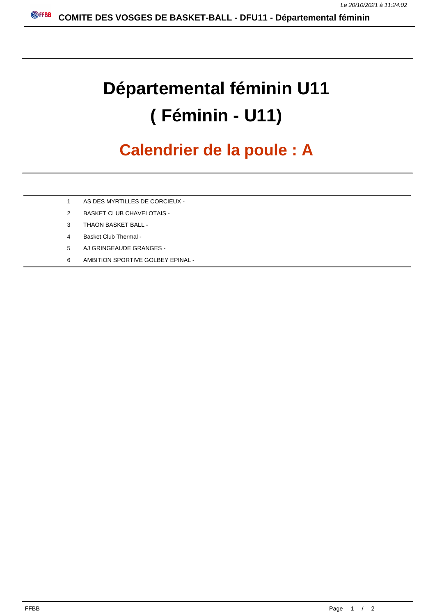## **Départemental féminin U11 ( Féminin - U11)**

## **Calendrier de la poule : A**

- 1 AS DES MYRTILLES DE CORCIEUX -
- 2 BASKET CLUB CHAVELOTAIS -
- 3 THAON BASKET BALL -
- 4 Basket Club Thermal -
- 5 AJ GRINGEAUDE GRANGES -
- 6 AMBITION SPORTIVE GOLBEY EPINAL -